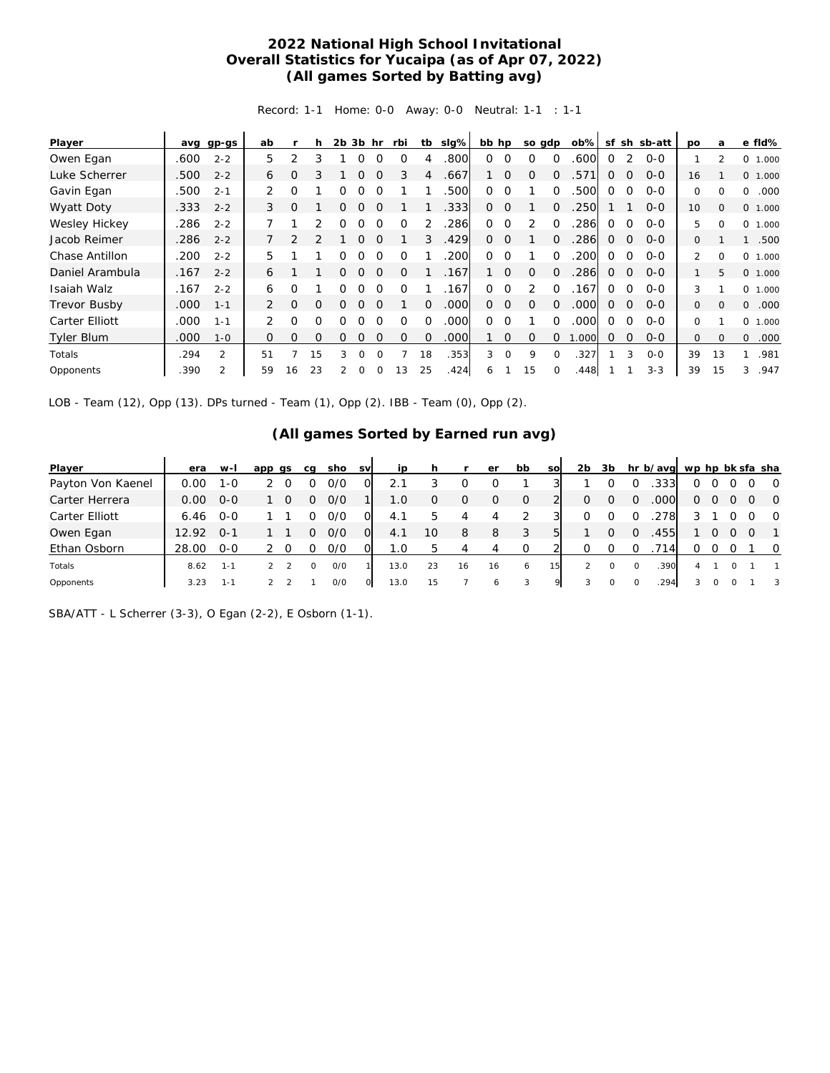## **2022 National High School Invitational Overall Statistics for Yucaipa (as of Apr 07, 2022) (All games Sorted by Batting avg)**

Record: 1-1 Home: 0-0 Away: 0-0 Neutral: 1-1 : 1-1

| Player              | avg  | gp-gs          | ab            |               |          | 2 <sub>b</sub> | 3b hr    |          | rbi      | tb       | slg% | bb hp    |          | so gdp        |          | $ob\%$ | sf           | sh           | sb-att  | po            | a              | e fld%            |
|---------------------|------|----------------|---------------|---------------|----------|----------------|----------|----------|----------|----------|------|----------|----------|---------------|----------|--------|--------------|--------------|---------|---------------|----------------|-------------------|
| Owen Egan           | .600 | $2 - 2$        | 5             | 2             | 3        |                | Ω        | $\Omega$ | $\Omega$ | 4        | .800 | $\Omega$ | $\Omega$ | $\Omega$      | $\Omega$ | .600   | 0            | 2            | $O - O$ |               | $\mathfrak{p}$ | 0<br>1.000        |
| Luke Scherrer       | .500 | $2 - 2$        | 6             | O             | 3        |                | ი        |          | 3        | 4        | .667 |          | $\Omega$ | $\Omega$      | $\Omega$ | 571    | 0            | 0            | $0 - 0$ | 16            |                | 0 1.000           |
| Gavin Egan          | .500 | $2 - 1$        | 2             | $\Omega$      |          | Ω              | 0        |          |          |          | 500  | $\Omega$ | $\Omega$ |               | $\Omega$ | .500   | 0            | $\Omega$     | $O-O$   | 0             | $\Omega$       | 0<br>.000         |
| Wyatt Doty          | .333 | $2 - 2$        | 3             | $\Omega$      |          | O              | O        |          |          |          | .333 | $\Omega$ | $\Omega$ |               | $\Omega$ | .250   |              |              | $O - O$ | 10            | $\Omega$       | 0 1.000           |
| Wesley Hickey       | .286 | $2 - 2$        |               |               | 2        | Ω              | Ω        | $\Omega$ | $\Omega$ |          | 286  | $\Omega$ | $\Omega$ | $\mathcal{P}$ | $\Omega$ | 286    | 0            | $\Omega$     | $O-O$   | 5             | $\Omega$       | 0<br>1.000        |
| Jacob Reimer        | .286 | $2 - 2$        |               | $\mathcal{P}$ |          |                | ი        |          |          | 3        | .429 | $\Omega$ | $\Omega$ |               | $\Omega$ | .286   | 0            | $\mathbf{0}$ | $O - O$ | 0             |                | .500              |
| Chase Antillon      | .200 | $2 - 2$        | 5             |               |          | Ω              | 0        | $\Omega$ | $\Omega$ |          | .200 | $\Omega$ | $\Omega$ |               | $\Omega$ | 200    | 0            | $\Omega$     | $O - O$ | $\mathcal{L}$ | $\Omega$       | $\Omega$<br>1.000 |
| Daniel Arambula     | .167 | $2 - 2$        | 6             |               |          | 0              | $\Omega$ | $\Omega$ | $\Omega$ |          | .167 |          | $\Omega$ | $\Omega$      | $\Omega$ | .286   | 0            | $\Omega$     | $O - O$ |               | 5              | 0 1.000           |
| Isaiah Walz         | .167 | $2 - 2$        | 6             | O             |          | O              | 0        | $\Omega$ | $\Omega$ |          | .167 | 0        | $\Omega$ | 2             | $\Omega$ | 167    | 0            | $\Omega$     | $O-O$   | 3             |                | 0 1.000           |
| <b>Trevor Busby</b> | .000 | $1 - 1$        | 2             | $\circ$       | $\Omega$ | 0              | 0        | $\Omega$ |          | $\Omega$ | .000 | $\Omega$ | $\Omega$ | $\Omega$      | $\Omega$ | .000   | $\Omega$     | $\Omega$     | $O - O$ | 0             | $\Omega$       | $\Omega$<br>.000  |
| Carter Elliott      | .000 | $1 - 1$        | $\mathcal{P}$ | $\Omega$      | 0        | Ω              | 0        | $\Omega$ | $\Omega$ | $\Omega$ | .000 | 0        | $\Omega$ |               | $\Omega$ | .000   | <sup>o</sup> | $\Omega$     | $0 - 0$ | $\Omega$      |                | $\Omega$<br>1.000 |
| <b>Tyler Blum</b>   | .000 | $1 - 0$        | 0             | 0             | $\Omega$ | O              | O        | $\Omega$ | $\Omega$ | $\Omega$ | .000 |          | 0        | $\Omega$      | 0        | .000   | $\Omega$     | $\mathbf 0$  | $0 - 0$ | 0             | $\Omega$       | $\circ$<br>.000   |
| Totals              | .294 | $\overline{2}$ | 51            | 7             | 15       | 3              | $\Omega$ | $\Omega$ |          | 18       | .353 | 3        | $\Omega$ | 9             | $\Omega$ | .327   |              | 3            | $O - O$ | 39            | 13             | .981<br>1         |
| Opponents           | .390 | 2              | 59            | 16            | 23       |                | 0        |          | 13       | 25       | .424 | 6        |          | 15            | 0        | .448   |              |              | $3 - 3$ | 39            | 15             | .947<br>3         |

LOB - Team (12), Opp (13). DPs turned - Team (1), Opp (2). IBB - Team (0), Opp (2).

## **(All games Sorted by Earned run avg)**

| Player            | era   | $W-I$   | app qs | ca | sho | <b>SV</b> | ip   |    |    | er | bb       | <b>SO</b> | 2 <sub>b</sub> | 3b               |          | hr b/avg wp hp bk sfa sha |          |   |  |                |
|-------------------|-------|---------|--------|----|-----|-----------|------|----|----|----|----------|-----------|----------------|------------------|----------|---------------------------|----------|---|--|----------------|
| Payton Von Kaenel | 0.OO  | 1-0     |        |    | 0/0 |           | 2.1  |    |    |    |          |           |                |                  |          | .333                      | 0        |   |  | $\overline{O}$ |
| Carter Herrera    | 0.00  | $O - O$ |        | Ω  | O/O |           | 1.0  | O  | O  | O  | 0        |           | 0              | $\Omega$         |          | .000                      | $\Omega$ | 0 |  | $\circ$ 0      |
| Carter Elliott    | 6.46  | $O-O$   |        |    | 0/0 |           | 4.1  |    | 4  | 4  |          |           |                | $\left( \right)$ |          | 2781                      |          |   |  | $\circ$        |
| Owen Egan         | 12.92 | $0 - 1$ |        |    | O/O | O.        | 4.1  | 10 | 8  | 8  | 3        | 51        |                | $\Omega$         |          | 455                       |          |   |  | $\overline{1}$ |
| Ethan Osborn      | 28.00 | $O-O$   |        |    | 0/0 |           | 1.0  | h  | 4  | 4  | $\Omega$ |           |                |                  |          | '14l                      | Ω        |   |  | $\circ$        |
| Totals            | 8.62  | $1 - 1$ |        | O  | O/O |           | 13.0 | 23 | 16 | 16 | 6        | 15        | $\mathcal{P}$  | $\Omega$         | $\Omega$ | 390                       |          |   |  |                |
| Opponents         | 3.23  | $1 - 1$ |        |    | O/O |           | 13.0 | 15 |    | 6  |          | $\Omega$  | 3              |                  | 0        | 294                       |          |   |  | 3              |

SBA/ATT - L Scherrer (3-3), O Egan (2-2), E Osborn (1-1).